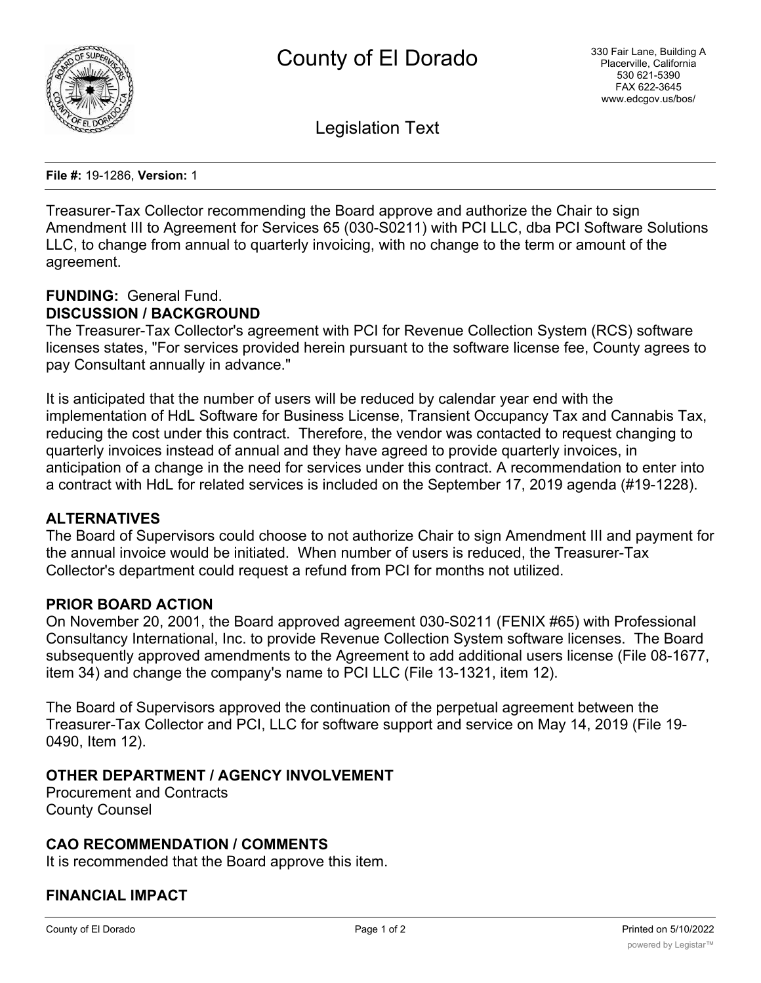

Legislation Text

**File #:** 19-1286, **Version:** 1

Treasurer-Tax Collector recommending the Board approve and authorize the Chair to sign Amendment III to Agreement for Services 65 (030-S0211) with PCI LLC, dba PCI Software Solutions LLC, to change from annual to quarterly invoicing, with no change to the term or amount of the agreement.

#### **FUNDING:** General Fund. **DISCUSSION / BACKGROUND**

The Treasurer-Tax Collector's agreement with PCI for Revenue Collection System (RCS) software licenses states, "For services provided herein pursuant to the software license fee, County agrees to pay Consultant annually in advance."

It is anticipated that the number of users will be reduced by calendar year end with the implementation of HdL Software for Business License, Transient Occupancy Tax and Cannabis Tax, reducing the cost under this contract. Therefore, the vendor was contacted to request changing to quarterly invoices instead of annual and they have agreed to provide quarterly invoices, in anticipation of a change in the need for services under this contract. A recommendation to enter into a contract with HdL for related services is included on the September 17, 2019 agenda (#19-1228).

# **ALTERNATIVES**

The Board of Supervisors could choose to not authorize Chair to sign Amendment III and payment for the annual invoice would be initiated. When number of users is reduced, the Treasurer-Tax Collector's department could request a refund from PCI for months not utilized.

# **PRIOR BOARD ACTION**

On November 20, 2001, the Board approved agreement 030-S0211 (FENIX #65) with Professional Consultancy International, Inc. to provide Revenue Collection System software licenses. The Board subsequently approved amendments to the Agreement to add additional users license (File 08-1677, item 34) and change the company's name to PCI LLC (File 13-1321, item 12).

The Board of Supervisors approved the continuation of the perpetual agreement between the Treasurer-Tax Collector and PCI, LLC for software support and service on May 14, 2019 (File 19- 0490, Item 12).

# **OTHER DEPARTMENT / AGENCY INVOLVEMENT**

Procurement and Contracts County Counsel

# **CAO RECOMMENDATION / COMMENTS**

It is recommended that the Board approve this item.

# **FINANCIAL IMPACT**